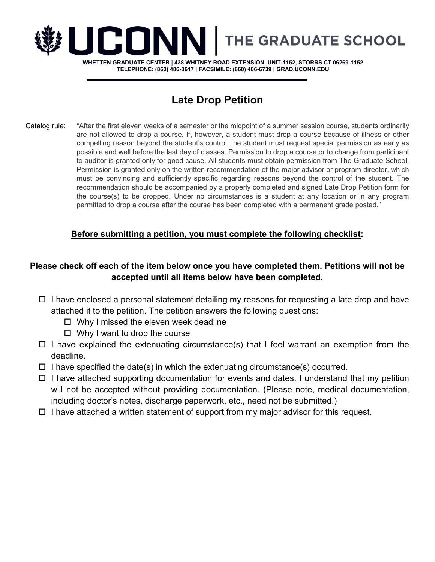

**WHETTEN GRADUATE CENTER | 438 WHITNEY ROAD EXTENSION, UNIT-1152, STORRS CT 06269-1152 TELEPHONE: (860) 486-3617 | FACSIMILE: (860) 486-6739 | GRAD.UCONN.EDU**

# **Late Drop Petition**

Catalog rule: "After the first eleven weeks of a semester or the midpoint of a summer session course, students ordinarily are not allowed to drop a course. If, however, a student must drop a course because of illness or other compelling reason beyond the student's control, the student must request special permission as early as possible and well before the last day of classes. Permission to drop a course or to change from participant to auditor is granted only for good cause. All students must obtain permission from The Graduate School. Permission is granted only on the written recommendation of the major advisor or program director, which must be convincing and sufficiently specific regarding reasons beyond the control of the student. The recommendation should be accompanied by a properly completed and signed Late Drop Petition form for the course(s) to be dropped. Under no circumstances is a student at any location or in any program permitted to drop a course after the course has been completed with a permanent grade posted."

## **Before submitting a petition, you must complete the following checklist:**

## **Please check off each of the item below once you have completed them. Petitions will not be accepted until all items below have been completed.**

- $\Box$  I have enclosed a personal statement detailing my reasons for requesting a late drop and have attached it to the petition. The petition answers the following questions:
	- $\Box$  Why I missed the eleven week deadline
	- $\Box$  Why I want to drop the course
- $\Box$  I have explained the extenuating circumstance(s) that I feel warrant an exemption from the deadline.
- $\Box$  I have specified the date(s) in which the extenuating circumstance(s) occurred.
- $\Box$  I have attached supporting documentation for events and dates. I understand that my petition will not be accepted without providing documentation. (Please note, medical documentation, including doctor's notes, discharge paperwork, etc., need not be submitted.)
- $\Box$  I have attached a written statement of support from my major advisor for this request.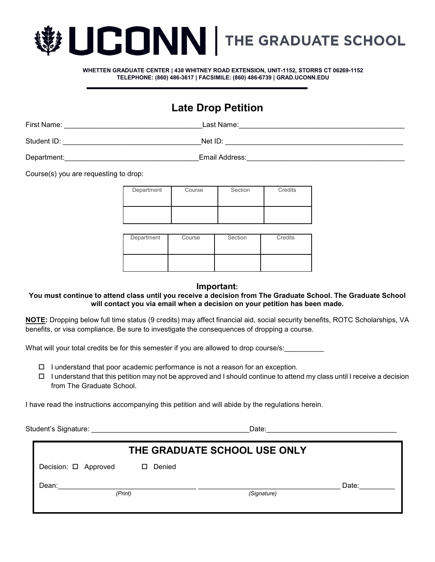

**WHETTEN GRADUATE CENTER | 438 WHITNEY ROAD EXTENSION, UNIT-1152, STORRS CT 06269-1152 TELEPHONE: (860) 486-3617 | FACSIMILE: (860) 486-6739 | GRAD.UCONN.EDU**

## **Late Drop Petition**

First Name: which is a set of the control of the control of the control of the control of the control of the control of the control of the control of the control of the control of the control of the control of the control

Student ID: \_\_\_\_\_\_\_\_\_\_\_\_\_\_\_\_\_\_\_\_\_\_\_\_\_\_\_\_\_\_\_\_\_\_\_Net ID: \_\_\_\_\_\_\_\_\_\_\_\_\_\_\_\_\_\_\_\_\_\_\_\_\_\_\_\_\_\_\_\_\_\_\_\_\_\_\_\_\_\_\_\_\_

Department:<br>Department:

Course(s) you are requesting to drop:

| Department | Course | Section | Credits |
|------------|--------|---------|---------|
|            |        |         |         |
|            |        |         |         |
|            |        |         |         |
|            |        |         |         |
|            |        |         |         |
|            |        |         |         |
|            |        |         |         |
|            |        |         |         |

| Department | Course | Section | Credits |
|------------|--------|---------|---------|
|            |        |         |         |

#### **Important:**

#### **You must continue to attend class until you receive a decision from The Graduate School. The Graduate School will contact you via email when a decision on your petition has been made.**

**NOTE:** Dropping below full time status (9 credits) may affect financial aid, social security benefits, ROTC Scholarships, VA benefits, or visa compliance. Be sure to investigate the consequences of dropping a course.

What will your total credits be for this semester if you are allowed to drop course/s:

- $\Box$  I understand that poor academic performance is not a reason for an exception.
- $\Box$  I understand that this petition may not be approved and I should continue to attend my class until I receive a decision from The Graduate School.

I have read the instructions accompanying this petition and will abide by the regulations herein.

Student's Signature: \_\_\_\_\_\_\_\_\_\_\_\_\_\_\_\_\_\_\_\_\_\_\_\_\_\_\_\_\_\_\_\_\_\_\_\_\_\_\_\_Date:\_\_\_\_\_\_\_\_\_\_\_\_\_\_\_\_\_\_\_\_\_\_\_\_\_\_\_\_\_\_\_\_\_

| THE GRADUATE SCHOOL USE ONLY |             |       |  |  |  |
|------------------------------|-------------|-------|--|--|--|
| Decision: O Approved<br>П    | Denied      |       |  |  |  |
| Dean:<br>(Print)             | (Signature) | Date: |  |  |  |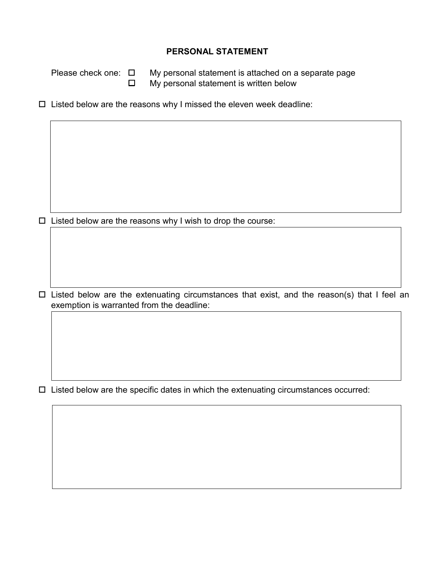### **PERSONAL STATEMENT**

Please check one: My personal statement is attached on a separate page  $\Box$  My personal statement is written below

 $\square$  Listed below are the reasons why I missed the eleven week deadline:

 $\square$  Listed below are the reasons why I wish to drop the course:

 $\Box$  Listed below are the extenuating circumstances that exist, and the reason(s) that I feel an exemption is warranted from the deadline:

 $\Box$  Listed below are the specific dates in which the extenuating circumstances occurred: